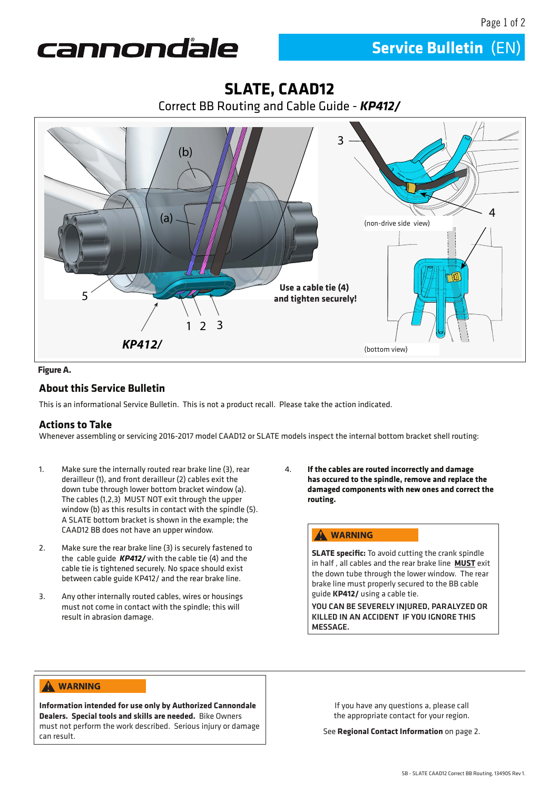**Service Bulletin** (EN)



# 1 2 3 *KP412/* 4 (b) (a) 3 5 **SLATE, CAAD12** Correct BB Routing and Cable Guide - *KP412/* **Use a cable tie (4) and tighten securely!** (bottom view) (non-drive side view)

#### **Figure A.**

## **About this Service Bulletin**

This is an informational Service Bulletin. This is not a product recall. Please take the action indicated.

### **Actions to Take**

Whenever assembling or servicing 2016-2017 model CAAD12 or SLATE models inspect the internal bottom bracket shell routing:

- 1. Make sure the internally routed rear brake line (3), rear derailleur (1), and front derailleur (2) cables exit the down tube through lower bottom bracket window (a). The cables (1,2,3) MUST NOT exit through the upper window (b) as this results in contact with the spindle (5). A SLATE bottom bracket is shown in the example; the CAAD12 BB does not have an upper window.
- 2. Make sure the rear brake line (3) is securely fastened to the cable guide *KP412/* with the cable tie (4) and the cable tie is tightened securely. No space should exist between cable guide KP412/ and the rear brake line.
- 3. Any other internally routed cables, wires or housings must not come in contact with the spindle; this will result in abrasion damage.

4. **If the cables are routed incorrectly and damage has occured to the spindle, remove and replace the damaged components with new ones and correct the routing.**

#### **WARNING**

**SLATE specific:** To avoid cutting the crank spindle in half , all cables and the rear brake line **MUST** exit the down tube through the lower window. The rear brake line must properly secured to the BB cable guide **KP412/** using a cable tie.

YOU CAN BE SEVERELY INJURED, PARALYZED OR KILLED IN AN ACCIDENT IF YOU IGNORE THIS MESSAGE.

#### A WARNING

**Information intended for use only by Authorized Cannondale Dealers. Special tools and skills are needed.** Bike Owners must not perform the work described. Serious injury or damage can result.

If you have any questions a, please call the appropriate contact for your region.

See **Regional Contact Information** on page 2.